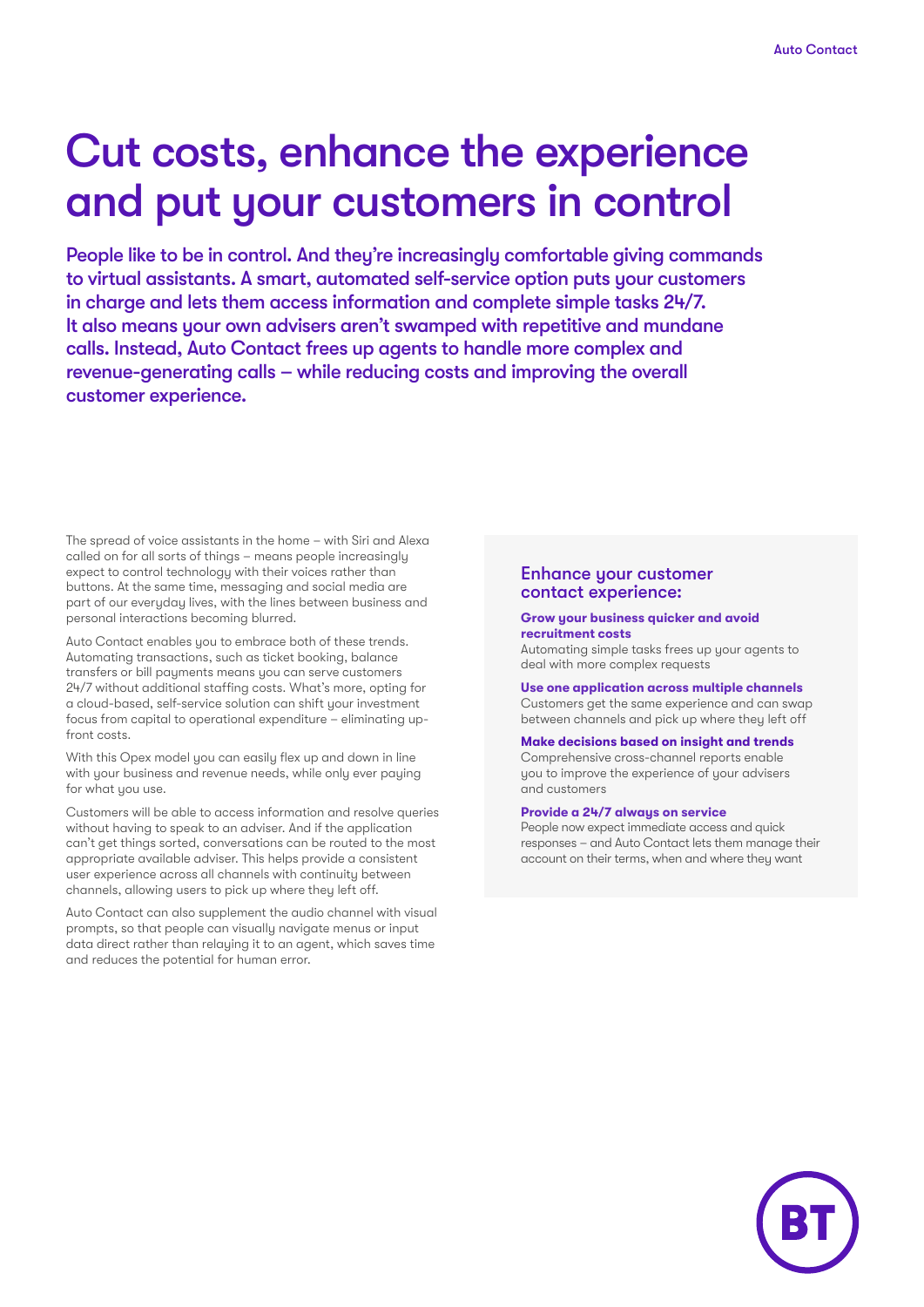# Cut costs, enhance the experience and put your customers in control

People like to be in control. And they're increasingly comfortable giving commands to virtual assistants. A smart, automated self-service option puts your customers in charge and lets them access information and complete simple tasks 24/7. It also means your own advisers aren't swamped with repetitive and mundane calls. Instead, Auto Contact frees up agents to handle more complex and revenue-generating calls – while reducing costs and improving the overall customer experience.

The spread of voice assistants in the home – with Siri and Alexa called on for all sorts of things – means people increasingly expect to control technology with their voices rather than buttons. At the same time, messaging and social media are part of our everyday lives, with the lines between business and personal interactions becoming blurred.

Auto Contact enables you to embrace both of these trends. Automating transactions, such as ticket booking, balance transfers or bill payments means you can serve customers 24/7 without additional staffing costs. What's more, opting for a cloud-based, self-service solution can shift your investment focus from capital to operational expenditure – eliminating upfront costs.

With this Opex model you can easily flex up and down in line with your business and revenue needs, while only ever paying for what you use.

Customers will be able to access information and resolve queries without having to speak to an adviser. And if the application can't get things sorted, conversations can be routed to the most appropriate available adviser. This helps provide a consistent user experience across all channels with continuity between channels, allowing users to pick up where they left off.

Auto Contact can also supplement the audio channel with visual prompts, so that people can visually navigate menus or input data direct rather than relaying it to an agent, which saves time and reduces the potential for human error.

#### Enhance your customer contact experience:

#### **Grow your business quicker and avoid recruitment costs**

Automating simple tasks frees up your agents to deal with more complex requests

**Use one application across multiple channels** Customers get the same experience and can swap between channels and pick up where they left off

#### **Make decisions based on insight and trends**

Comprehensive cross-channel reports enable you to improve the experience of your advisers and customers

#### **Provide a 24/7 always on service**

People now expect immediate access and quick responses – and Auto Contact lets them manage their account on their terms, when and where they want